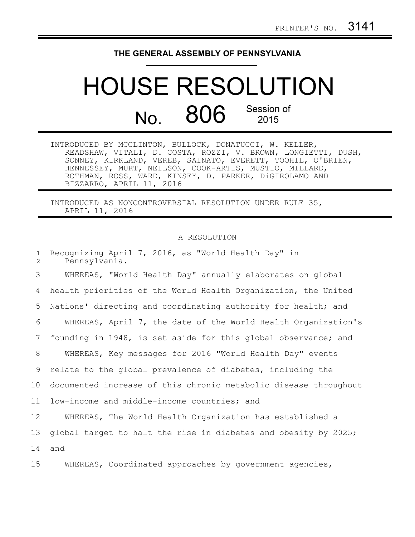## **THE GENERAL ASSEMBLY OF PENNSYLVANIA**

## HOUSE RESOLUTION No. 806 Session of

| INTRODUCED BY MCCLINTON, BULLOCK, DONATUCCI, W. KELLER,       |  |
|---------------------------------------------------------------|--|
| READSHAW, VITALI, D. COSTA, ROZZI, V. BROWN, LONGIETTI, DUSH, |  |
| SONNEY, KIRKLAND, VEREB, SAINATO, EVERETT, TOOHIL, O'BRIEN,   |  |
| HENNESSEY, MURT, NEILSON, COOK-ARTIS, MUSTIO, MILLARD,        |  |
| ROTHMAN, ROSS, WARD, KINSEY, D. PARKER, DiGIROLAMO AND        |  |
| BIZZARRO, APRIL 11, 2016                                      |  |

INTRODUCED AS NONCONTROVERSIAL RESOLUTION UNDER RULE 35, APRIL 11, 2016

## A RESOLUTION

| $\mathbf{1}$<br>$\mathbf{2}^{\prime}$ | Recognizing April 7, 2016, as "World Health Day" in<br>Pennsylvania. |
|---------------------------------------|----------------------------------------------------------------------|
| 3                                     | WHEREAS, "World Health Day" annually elaborates on global            |
| 4                                     | health priorities of the World Health Organization, the United       |
| 5                                     | Nations' directing and coordinating authority for health; and        |
| 6                                     | WHEREAS, April 7, the date of the World Health Organization's        |
| 7                                     | founding in 1948, is set aside for this global observance; and       |
| 8                                     | WHEREAS, Key messages for 2016 "World Health Day" events             |
| 9                                     | relate to the global prevalence of diabetes, including the           |
| 10                                    | documented increase of this chronic metabolic disease throughout     |
| 11                                    | low-income and middle-income countries; and                          |
| 12 <sup>°</sup>                       | WHEREAS, The World Health Organization has established a             |
| 13                                    | global target to halt the rise in diabetes and obesity by 2025;      |
| 14                                    | and                                                                  |
| 15                                    | WHEREAS, Coordinated approaches by government agencies,              |